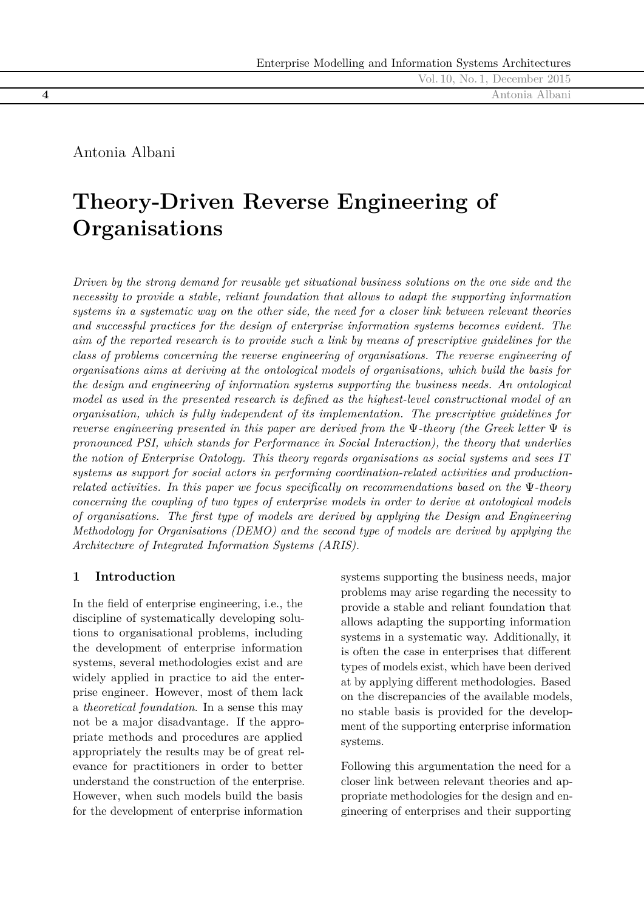# Antonia Albani

# **Theory-Driven Reverse Engineering of Organisations**

*Driven by the strong demand for reusable yet situational business solutions on the one side and the necessity to provide a stable, reliant foundation that allows to adapt the supporting information systems in a systematic way on the other side, the need for a closer link between relevant theories and successful practices for the design of enterprise information systems becomes evident. The aim of the reported research is to provide such a link by means of prescriptive guidelines for the class of problems concerning the reverse engineering of organisations. The reverse engineering of organisations aims at deriving at the ontological models of organisations, which build the basis for the design and engineering of information systems supporting the business needs. An ontological model as used in the presented research is defined as the highest-level constructional model of an organisation, which is fully independent of its implementation. The prescriptive guidelines for reverse engineering presented in this paper are derived from the* Ψ*-theory (the Greek letter* Ψ *is pronounced PSI, which stands for Performance in Social Interaction), the theory that underlies the notion of Enterprise Ontology. This theory regards organisations as social systems and sees IT systems as support for social actors in performing coordination-related activities and productionrelated activities. In this paper we focus specifically on recommendations based on the* Ψ*-theory concerning the coupling of two types of enterprise models in order to derive at ontological models of organisations. The first type of models are derived by applying the Design and Engineering Methodology for Organisations (DEMO) and the second type of models are derived by applying the Architecture of Integrated Information Systems (ARIS).*

### **1 Introduction**

In the field of enterprise engineering, i.e., the discipline of systematically developing solutions to organisational problems, including the development of enterprise information systems, several methodologies exist and are widely applied in practice to aid the enterprise engineer. However, most of them lack a *theoretical foundation*. In a sense this may not be a major disadvantage. If the appropriate methods and procedures are applied appropriately the results may be of great relevance for practitioners in order to better understand the construction of the enterprise. However, when such models build the basis for the development of enterprise information

systems supporting the business needs, major problems may arise regarding the necessity to provide a stable and reliant foundation that allows adapting the supporting information systems in a systematic way. Additionally, it is often the case in enterprises that different types of models exist, which have been derived at by applying different methodologies. Based on the discrepancies of the available models, no stable basis is provided for the development of the supporting enterprise information systems.

Following this argumentation the need for a closer link between relevant theories and appropriate methodologies for the design and engineering of enterprises and their supporting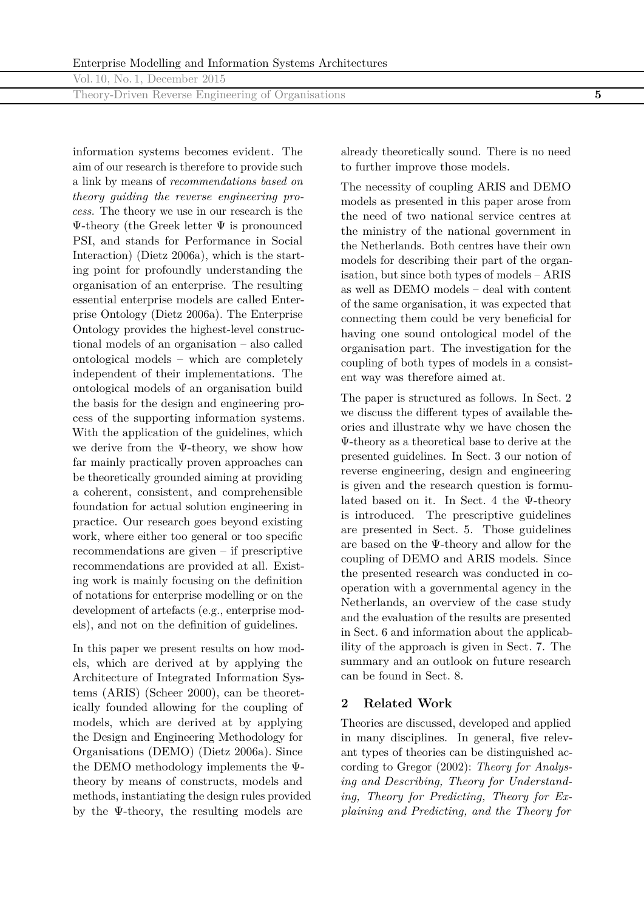Theory-Driven Reverse Engineering of Organisations **5**

information systems becomes evident. The aim of our research is therefore to provide such a link by means of *recommendations based on theory guiding the reverse engineering process*. The theory we use in our research is the  $\Psi$ -theory (the Greek letter  $\Psi$  is pronounced PSI, and stands for Performance in Social Interaction) (Dietz 2006a), which is the starting point for profoundly understanding the organisation of an enterprise. The resulting essential enterprise models are called Enterprise Ontology (Dietz 2006a). The Enterprise Ontology provides the highest-level constructional models of an organisation – also called ontological models – which are completely independent of their implementations. The ontological models of an organisation build the basis for the design and engineering process of the supporting information systems. With the application of the guidelines, which we derive from the Ψ-theory, we show how far mainly practically proven approaches can be theoretically grounded aiming at providing a coherent, consistent, and comprehensible foundation for actual solution engineering in practice. Our research goes beyond existing work, where either too general or too specific recommendations are given – if prescriptive recommendations are provided at all. Existing work is mainly focusing on the definition of notations for enterprise modelling or on the development of artefacts (e.g., enterprise models), and not on the definition of guidelines.

In this paper we present results on how models, which are derived at by applying the Architecture of Integrated Information Systems (ARIS) (Scheer 2000), can be theoretically founded allowing for the coupling of models, which are derived at by applying the Design and Engineering Methodology for Organisations (DEMO) (Dietz 2006a). Since the DEMO methodology implements the Ψtheory by means of constructs, models and methods, instantiating the design rules provided by the  $\Psi$ -theory, the resulting models are

already theoretically sound. There is no need to further improve those models.

The necessity of coupling ARIS and DEMO models as presented in this paper arose from the need of two national service centres at the ministry of the national government in the Netherlands. Both centres have their own models for describing their part of the organisation, but since both types of models – ARIS as well as DEMO models – deal with content of the same organisation, it was expected that connecting them could be very beneficial for having one sound ontological model of the organisation part. The investigation for the coupling of both types of models in a consistent way was therefore aimed at.

The paper is structured as follows. In Sect. 2 we discuss the different types of available theories and illustrate why we have chosen the Ψ-theory as a theoretical base to derive at the presented guidelines. In Sect. 3 our notion of reverse engineering, design and engineering is given and the research question is formulated based on it. In Sect. 4 the Ψ-theory is introduced. The prescriptive guidelines are presented in Sect. 5. Those guidelines are based on the Ψ-theory and allow for the coupling of DEMO and ARIS models. Since the presented research was conducted in cooperation with a governmental agency in the Netherlands, an overview of the case study and the evaluation of the results are presented in Sect. 6 and information about the applicability of the approach is given in Sect. 7. The summary and an outlook on future research can be found in Sect. 8.

# **2 Related Work**

Theories are discussed, developed and applied in many disciplines. In general, five relevant types of theories can be distinguished according to Gregor (2002): *Theory for Analysing and Describing, Theory for Understanding, Theory for Predicting, Theory for Explaining and Predicting, and the Theory for*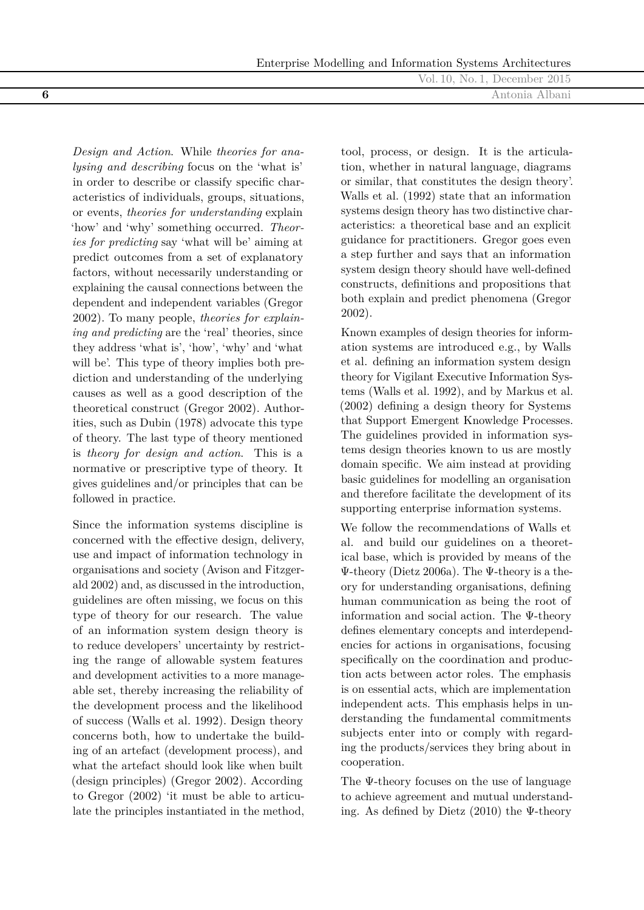Vol. 10, No. 1, December 2015 **6** Antonia Albani

*Design and Action*. While *theories for analysing and describing* focus on the 'what is' in order to describe or classify specific characteristics of individuals, groups, situations, or events, *theories for understanding* explain 'how' and 'why' something occurred. *Theories for predicting* say 'what will be' aiming at predict outcomes from a set of explanatory factors, without necessarily understanding or explaining the causal connections between the dependent and independent variables (Gregor 2002). To many people, *theories for explaining and predicting* are the 'real' theories, since they address 'what is', 'how', 'why' and 'what will be. This type of theory implies both prediction and understanding of the underlying causes as well as a good description of the theoretical construct (Gregor 2002). Authorities, such as Dubin (1978) advocate this type of theory. The last type of theory mentioned is *theory for design and action*. This is a normative or prescriptive type of theory. It gives guidelines and/or principles that can be followed in practice.

Since the information systems discipline is concerned with the effective design, delivery, use and impact of information technology in organisations and society (Avison and Fitzgerald 2002) and, as discussed in the introduction, guidelines are often missing, we focus on this type of theory for our research. The value of an information system design theory is to reduce developers' uncertainty by restricting the range of allowable system features and development activities to a more manageable set, thereby increasing the reliability of the development process and the likelihood of success (Walls et al. 1992). Design theory concerns both, how to undertake the building of an artefact (development process), and what the artefact should look like when built (design principles) (Gregor 2002). According to Gregor (2002) 'it must be able to articulate the principles instantiated in the method,

tool, process, or design. It is the articulation, whether in natural language, diagrams or similar, that constitutes the design theory'. Walls et al. (1992) state that an information systems design theory has two distinctive characteristics: a theoretical base and an explicit guidance for practitioners. Gregor goes even a step further and says that an information system design theory should have well-defined constructs, definitions and propositions that both explain and predict phenomena (Gregor 2002).

Known examples of design theories for information systems are introduced e.g., by Walls et al. defining an information system design theory for Vigilant Executive Information Systems (Walls et al. 1992), and by Markus et al. (2002) defining a design theory for Systems that Support Emergent Knowledge Processes. The guidelines provided in information systems design theories known to us are mostly domain specific. We aim instead at providing basic guidelines for modelling an organisation and therefore facilitate the development of its supporting enterprise information systems.

We follow the recommendations of Walls et al. and build our guidelines on a theoretical base, which is provided by means of the Ψ-theory (Dietz 2006a). The Ψ-theory is a theory for understanding organisations, defining human communication as being the root of information and social action. The Ψ-theory defines elementary concepts and interdependencies for actions in organisations, focusing specifically on the coordination and production acts between actor roles. The emphasis is on essential acts, which are implementation independent acts. This emphasis helps in understanding the fundamental commitments subjects enter into or comply with regarding the products/services they bring about in cooperation.

The Ψ-theory focuses on the use of language to achieve agreement and mutual understanding. As defined by Dietz  $(2010)$  the Ψ-theory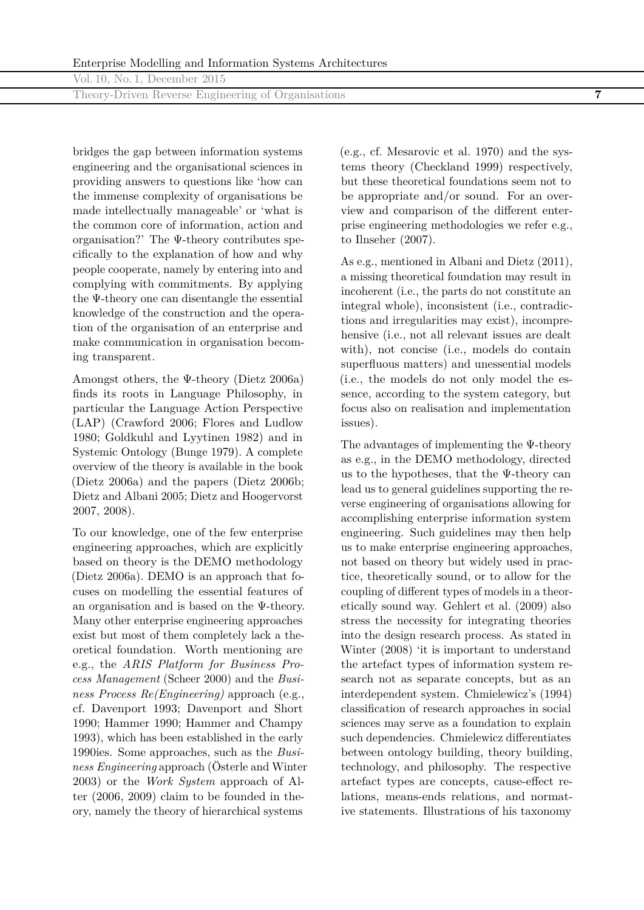Theory-Driven Reverse Engineering of Organisations **7**

bridges the gap between information systems engineering and the organisational sciences in providing answers to questions like 'how can the immense complexity of organisations be made intellectually manageable' or 'what is the common core of information, action and organisation?' The Ψ-theory contributes specifically to the explanation of how and why people cooperate, namely by entering into and complying with commitments. By applying the Ψ-theory one can disentangle the essential knowledge of the construction and the operation of the organisation of an enterprise and make communication in organisation becoming transparent.

Amongst others, the Ψ-theory (Dietz 2006a) finds its roots in Language Philosophy, in particular the Language Action Perspective (LAP) (Crawford 2006; Flores and Ludlow 1980; Goldkuhl and Lyytinen 1982) and in Systemic Ontology (Bunge 1979). A complete overview of the theory is available in the book (Dietz 2006a) and the papers (Dietz 2006b; Dietz and Albani 2005; Dietz and Hoogervorst 2007, 2008).

To our knowledge, one of the few enterprise engineering approaches, which are explicitly based on theory is the DEMO methodology (Dietz 2006a). DEMO is an approach that focuses on modelling the essential features of an organisation and is based on the Ψ-theory. Many other enterprise engineering approaches exist but most of them completely lack a theoretical foundation. Worth mentioning are e.g., the *ARIS Platform for Business Process Management* (Scheer 2000) and the *Business Process Re(Engineering)* approach (e.g., cf. Davenport 1993; Davenport and Short 1990; Hammer 1990; Hammer and Champy 1993), which has been established in the early 1990ies. Some approaches, such as the *Business Engineering* approach (Österle and Winter 2003) or the *Work System* approach of Alter (2006, 2009) claim to be founded in theory, namely the theory of hierarchical systems

(e.g., cf. Mesarovic et al. 1970) and the systems theory (Checkland 1999) respectively, but these theoretical foundations seem not to be appropriate and/or sound. For an overview and comparison of the different enterprise engineering methodologies we refer e.g., to Ilnseher (2007).

As e.g., mentioned in Albani and Dietz (2011), a missing theoretical foundation may result in incoherent (i.e., the parts do not constitute an integral whole), inconsistent (i.e., contradictions and irregularities may exist), incomprehensive (i.e., not all relevant issues are dealt with), not concise (i.e., models do contain superfluous matters) and unessential models (i.e., the models do not only model the essence, according to the system category, but focus also on realisation and implementation issues).

The advantages of implementing the Ψ-theory as e.g., in the DEMO methodology, directed us to the hypotheses, that the  $\Psi$ -theory can lead us to general guidelines supporting the reverse engineering of organisations allowing for accomplishing enterprise information system engineering. Such guidelines may then help us to make enterprise engineering approaches, not based on theory but widely used in practice, theoretically sound, or to allow for the coupling of different types of models in a theoretically sound way. Gehlert et al. (2009) also stress the necessity for integrating theories into the design research process. As stated in Winter (2008) 'it is important to understand the artefact types of information system research not as separate concepts, but as an interdependent system. Chmielewicz's (1994) classification of research approaches in social sciences may serve as a foundation to explain such dependencies. Chmielewicz differentiates between ontology building, theory building, technology, and philosophy. The respective artefact types are concepts, cause-effect relations, means-ends relations, and normative statements. Illustrations of his taxonomy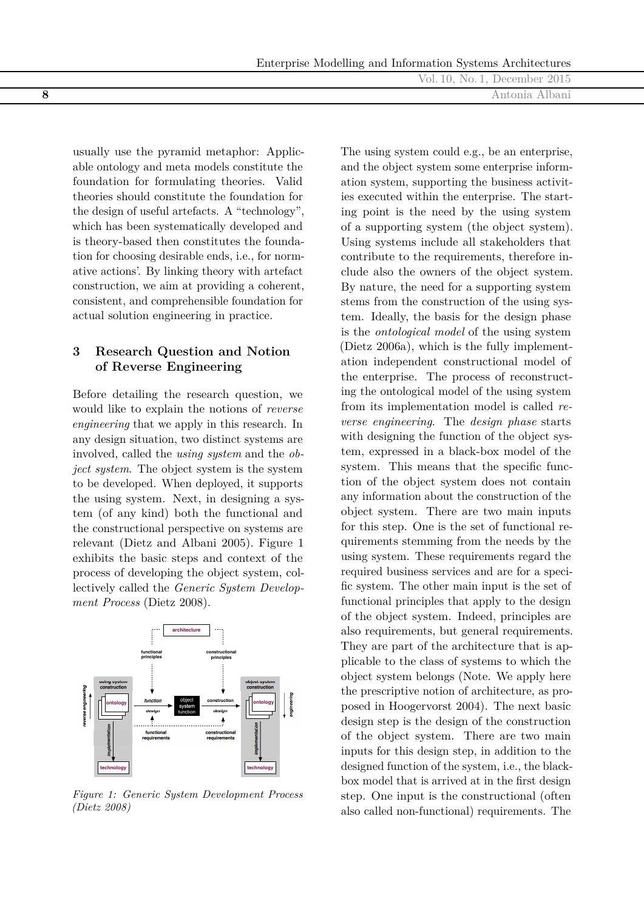Vol. 10, No. 1, December 2015 **8** Antonia Albani

usually use the pyramid metaphor: Applicable ontology and meta models constitute the foundation for formulating theories. Valid theories should constitute the foundation for the design of useful artefacts. A "technology", which has been systematically developed and is theory-based then constitutes the foundation for choosing desirable ends, i.e., for normative actions'. By linking theory with artefact construction, we aim at providing a coherent, consistent, and comprehensible foundation for actual solution engineering in practice.

# **3 Research Question and Notion of Reverse Engineering**

Before detailing the research question, we would like to explain the notions of *reverse engineering* that we apply in this research. In any design situation, two distinct systems are involved, called the *using system* and the *object system*. The object system is the system to be developed. When deployed, it supports the using system. Next, in designing a system (of any kind) both the functional and the constructional perspective on systems are relevant (Dietz and Albani 2005). Figure 1 exhibits the basic steps and context of the process of developing the object system, collectively called the *Generic System Development Process* (Dietz 2008).



*Figure 1: Generic System Development Process (Dietz 2008)*

The using system could e.g., be an enterprise, and the object system some enterprise information system, supporting the business activities executed within the enterprise. The starting point is the need by the using system of a supporting system (the object system). Using systems include all stakeholders that contribute to the requirements, therefore include also the owners of the object system. By nature, the need for a supporting system stems from the construction of the using system. Ideally, the basis for the design phase is the *ontological model* of the using system (Dietz 2006a), which is the fully implementation independent constructional model of the enterprise. The process of reconstructing the ontological model of the using system from its implementation model is called *reverse engineering*. The *design phase* starts with designing the function of the object system, expressed in a black-box model of the system. This means that the specific function of the object system does not contain any information about the construction of the object system. There are two main inputs for this step. One is the set of functional requirements stemming from the needs by the using system. These requirements regard the required business services and are for a specific system. The other main input is the set of functional principles that apply to the design of the object system. Indeed, principles are also requirements, but general requirements. They are part of the architecture that is applicable to the class of systems to which the object system belongs (Note. We apply here the prescriptive notion of architecture, as proposed in Hoogervorst 2004). The next basic design step is the design of the construction of the object system. There are two main inputs for this design step, in addition to the designed function of the system, i.e., the blackbox model that is arrived at in the first design step. One input is the constructional (often also called non-functional) requirements. The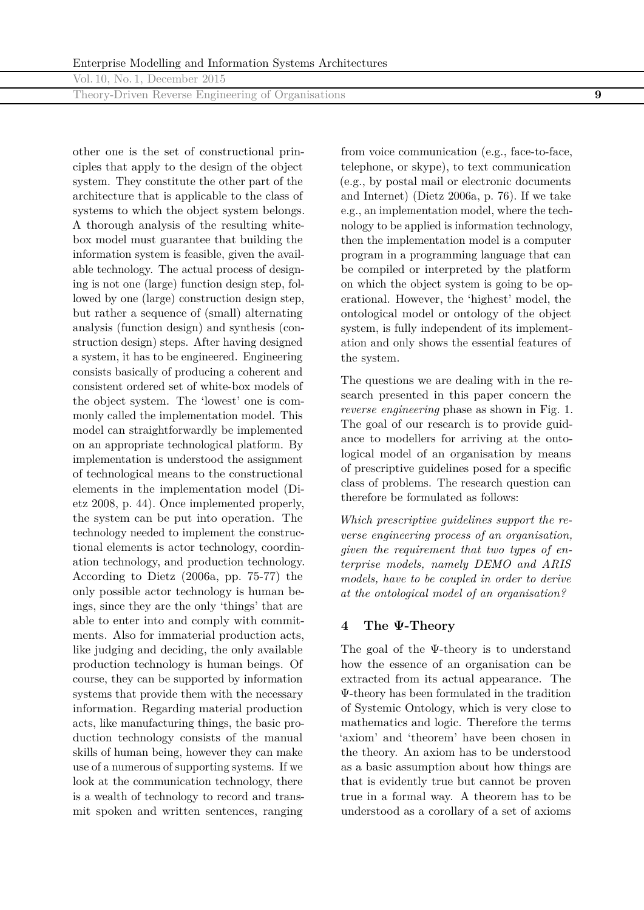Theory-Driven Reverse Engineering of Organisations **9**

other one is the set of constructional principles that apply to the design of the object system. They constitute the other part of the architecture that is applicable to the class of systems to which the object system belongs. A thorough analysis of the resulting whitebox model must guarantee that building the information system is feasible, given the available technology. The actual process of designing is not one (large) function design step, followed by one (large) construction design step, but rather a sequence of (small) alternating analysis (function design) and synthesis (construction design) steps. After having designed a system, it has to be engineered. Engineering consists basically of producing a coherent and consistent ordered set of white-box models of the object system. The 'lowest' one is commonly called the implementation model. This model can straightforwardly be implemented on an appropriate technological platform. By implementation is understood the assignment of technological means to the constructional elements in the implementation model (Dietz 2008, p. 44). Once implemented properly, the system can be put into operation. The technology needed to implement the constructional elements is actor technology, coordination technology, and production technology. According to Dietz (2006a, pp. 75-77) the only possible actor technology is human beings, since they are the only 'things' that are able to enter into and comply with commitments. Also for immaterial production acts, like judging and deciding, the only available production technology is human beings. Of course, they can be supported by information systems that provide them with the necessary information. Regarding material production acts, like manufacturing things, the basic production technology consists of the manual skills of human being, however they can make use of a numerous of supporting systems. If we look at the communication technology, there is a wealth of technology to record and transmit spoken and written sentences, ranging

from voice communication (e.g., face-to-face, telephone, or skype), to text communication (e.g., by postal mail or electronic documents and Internet) (Dietz 2006a, p. 76). If we take e.g., an implementation model, where the technology to be applied is information technology, then the implementation model is a computer program in a programming language that can be compiled or interpreted by the platform on which the object system is going to be operational. However, the 'highest' model, the ontological model or ontology of the object system, is fully independent of its implementation and only shows the essential features of the system.

The questions we are dealing with in the research presented in this paper concern the *reverse engineering* phase as shown in Fig. 1. The goal of our research is to provide guidance to modellers for arriving at the ontological model of an organisation by means of prescriptive guidelines posed for a specific class of problems. The research question can therefore be formulated as follows:

*Which prescriptive guidelines support the reverse engineering process of an organisation, given the requirement that two types of enterprise models, namely DEMO and ARIS models, have to be coupled in order to derive at the ontological model of an organisation?*

#### **4 The Ψ-Theory**

The goal of the Ψ-theory is to understand how the essence of an organisation can be extracted from its actual appearance. The Ψ-theory has been formulated in the tradition of Systemic Ontology, which is very close to mathematics and logic. Therefore the terms 'axiom' and 'theorem' have been chosen in the theory. An axiom has to be understood as a basic assumption about how things are that is evidently true but cannot be proven true in a formal way. A theorem has to be understood as a corollary of a set of axioms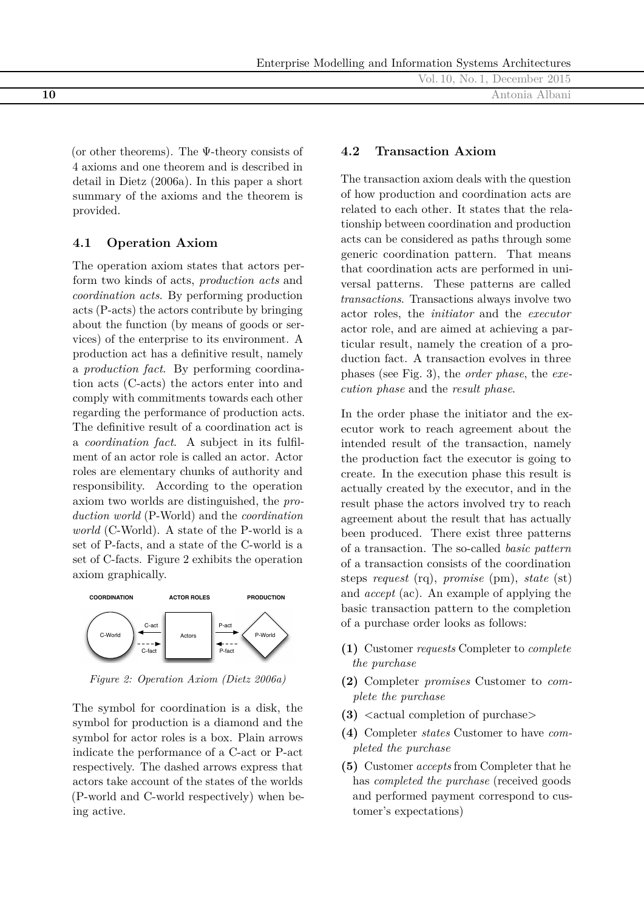|    | Vol. 10, No. 1, December 2015 |
|----|-------------------------------|
| 10 | Antonia Albani                |
|    |                               |

(or other theorems). The Ψ-theory consists of 4 axioms and one theorem and is described in detail in Dietz (2006a). In this paper a short summary of the axioms and the theorem is provided.

## **4.1 Operation Axiom**

The operation axiom states that actors perform two kinds of acts, *production acts* and *coordination acts*. By performing production acts (P-acts) the actors contribute by bringing about the function (by means of goods or services) of the enterprise to its environment. A production act has a definitive result, namely a *production fact*. By performing coordination acts (C-acts) the actors enter into and comply with commitments towards each other regarding the performance of production acts. The definitive result of a coordination act is a *coordination fact*. A subject in its fulfilment of an actor role is called an actor. Actor roles are elementary chunks of authority and responsibility. According to the operation axiom two worlds are distinguished, the *production world* (P-World) and the *coordination world* (C-World). A state of the P-world is a set of P-facts, and a state of the C-world is a set of C-facts. Figure 2 exhibits the operation axiom graphically.



*Figure 2: Operation Axiom (Dietz 2006a)*

The symbol for coordination is a disk, the symbol for production is a diamond and the symbol for actor roles is a box. Plain arrows indicate the performance of a C-act or P-act respectively. The dashed arrows express that actors take account of the states of the worlds (P-world and C-world respectively) when being active.

#### **4.2 Transaction Axiom**

The transaction axiom deals with the question of how production and coordination acts are related to each other. It states that the relationship between coordination and production acts can be considered as paths through some generic coordination pattern. That means that coordination acts are performed in universal patterns. These patterns are called *transactions*. Transactions always involve two actor roles, the *initiator* and the *executor* actor role, and are aimed at achieving a particular result, namely the creation of a production fact. A transaction evolves in three phases (see Fig. 3), the *order phase*, the *execution phase* and the *result phase*.

In the order phase the initiator and the executor work to reach agreement about the intended result of the transaction, namely the production fact the executor is going to create. In the execution phase this result is actually created by the executor, and in the result phase the actors involved try to reach agreement about the result that has actually been produced. There exist three patterns of a transaction. The so-called *basic pattern* of a transaction consists of the coordination steps *request* (rq), *promise* (pm), *state* (st) and *accept* (ac). An example of applying the basic transaction pattern to the completion of a purchase order looks as follows:

- **(1)** Customer *requests* Completer to *complete the purchase*
- **(2)** Completer *promises* Customer to *complete the purchase*
- **(3)** <actual completion of purchase>
- **(4)** Completer *states* Customer to have *completed the purchase*
- **(5)** Customer *accepts* from Completer that he has *completed the purchase* (received goods and performed payment correspond to customer's expectations)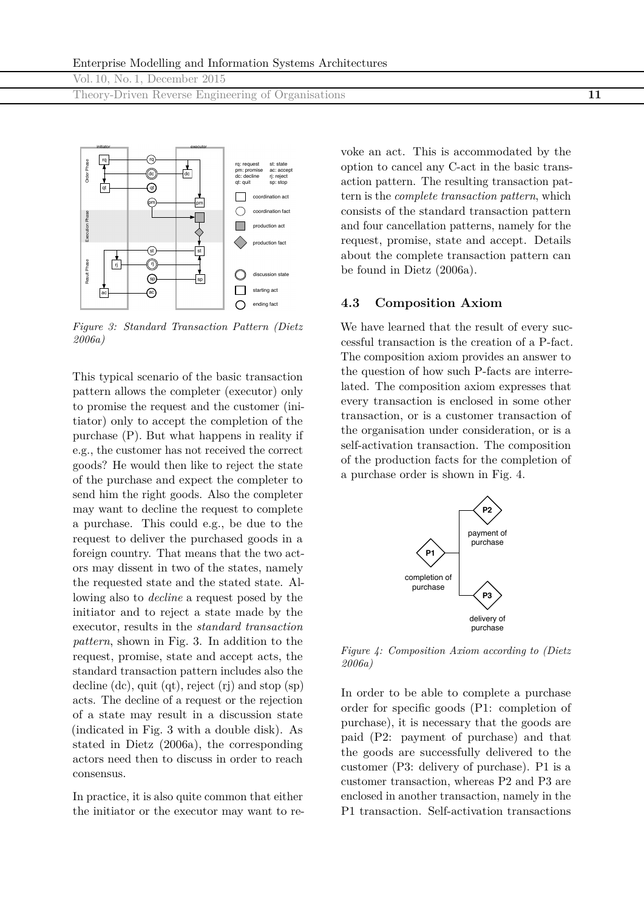Theory-Driven Reverse Engineering of Organisations **11**



*Figure 3: Standard Transaction Pattern (Dietz 2006a)*

This typical scenario of the basic transaction pattern allows the completer (executor) only to promise the request and the customer (initiator) only to accept the completion of the purchase (P). But what happens in reality if e.g., the customer has not received the correct goods? He would then like to reject the state of the purchase and expect the completer to send him the right goods. Also the completer may want to decline the request to complete a purchase. This could e.g., be due to the request to deliver the purchased goods in a foreign country. That means that the two actors may dissent in two of the states, namely the requested state and the stated state. Allowing also to *decline* a request posed by the initiator and to reject a state made by the executor, results in the *standard transaction pattern*, shown in Fig. 3. In addition to the request, promise, state and accept acts, the standard transaction pattern includes also the decline (dc), quit (qt), reject  $(rj)$  and stop  $(sp)$ acts. The decline of a request or the rejection of a state may result in a discussion state (indicated in Fig. 3 with a double disk). As stated in Dietz (2006a), the corresponding actors need then to discuss in order to reach consensus.

In practice, it is also quite common that either the initiator or the executor may want to revoke an act. This is accommodated by the option to cancel any C-act in the basic transaction pattern. The resulting transaction pattern is the *complete transaction pattern*, which consists of the standard transaction pattern and four cancellation patterns, namely for the request, promise, state and accept. Details about the complete transaction pattern can be found in Dietz (2006a).

#### **4.3 Composition Axiom**

We have learned that the result of every successful transaction is the creation of a P-fact. The composition axiom provides an answer to the question of how such P-facts are interrelated. The composition axiom expresses that every transaction is enclosed in some other transaction, or is a customer transaction of the organisation under consideration, or is a self-activation transaction. The composition of the production facts for the completion of a purchase order is shown in Fig. 4.



*Figure 4: Composition Axiom according to (Dietz 2006a)*

In order to be able to complete a purchase order for specific goods (P1: completion of purchase), it is necessary that the goods are paid (P2: payment of purchase) and that the goods are successfully delivered to the customer (P3: delivery of purchase). P1 is a customer transaction, whereas P2 and P3 are enclosed in another transaction, namely in the P1 transaction. Self-activation transactions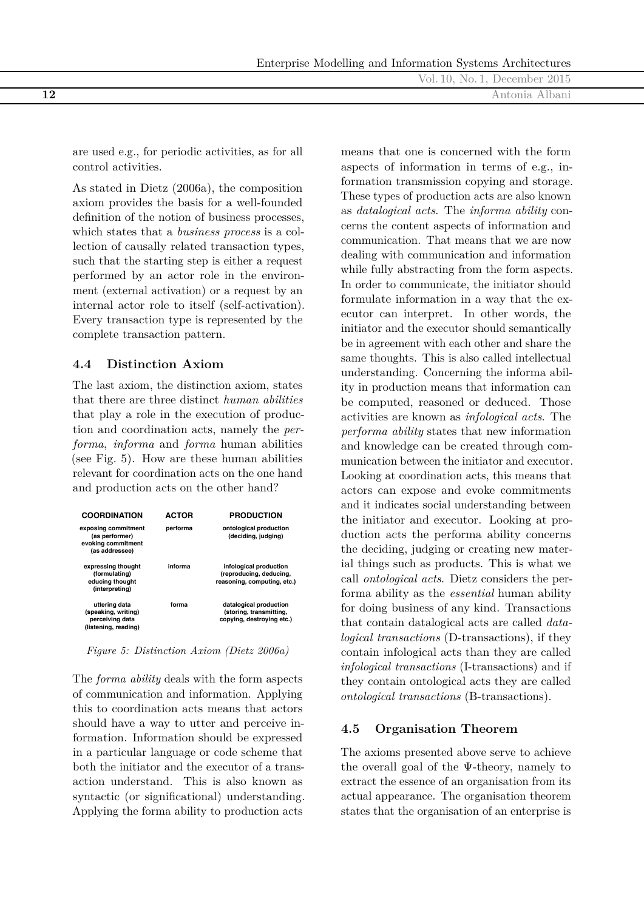| Enterprise Modelling and Information Systems Architectures |  |  |
|------------------------------------------------------------|--|--|
|                                                            |  |  |

|                      | $\sqrt{N_0}$ 1<br>December 2015<br>Vol.<br>$\cap$ |
|----------------------|---------------------------------------------------|
| $\overline{1}$<br>┸◢ | Antonia<br>`ha.nı                                 |
|                      |                                                   |

are used e.g., for periodic activities, as for all control activities.

As stated in Dietz (2006a), the composition axiom provides the basis for a well-founded definition of the notion of business processes, which states that a *business process* is a collection of causally related transaction types, such that the starting step is either a request performed by an actor role in the environment (external activation) or a request by an internal actor role to itself (self-activation). Every transaction type is represented by the complete transaction pattern.

## **4.4 Distinction Axiom**

The last axiom, the distinction axiom, states that there are three distinct *human abilities* that play a role in the execution of production and coordination acts, namely the *performa*, *informa* and *forma* human abilities (see Fig. 5). How are these human abilities relevant for coordination acts on the one hand and production acts on the other hand?

| <b>COORDINATION</b>                                                             | <b>ACTOR</b> | <b>PRODUCTION</b>                                                                |
|---------------------------------------------------------------------------------|--------------|----------------------------------------------------------------------------------|
| exposing commitment<br>(as performer)<br>evoking commitment<br>(as addressee)   | performa     | ontological production<br>(deciding, judging)                                    |
| expressing thought<br>(formulating)<br>educing thought<br>(interpreting)        | informa      | infological production<br>(reproducing, deducing,<br>reasoning, computing, etc.) |
| uttering data<br>(speaking, writing)<br>perceiving data<br>(listening, reading) | forma        | datalogical production<br>(storing, transmitting,<br>copying, destroying etc.)   |

*Figure 5: Distinction Axiom (Dietz 2006a)*

The *forma ability* deals with the form aspects of communication and information. Applying this to coordination acts means that actors should have a way to utter and perceive information. Information should be expressed in a particular language or code scheme that both the initiator and the executor of a transaction understand. This is also known as syntactic (or significational) understanding. Applying the forma ability to production acts

means that one is concerned with the form aspects of information in terms of e.g., information transmission copying and storage. These types of production acts are also known as *datalogical acts*. The *informa ability* concerns the content aspects of information and communication. That means that we are now dealing with communication and information while fully abstracting from the form aspects. In order to communicate, the initiator should formulate information in a way that the executor can interpret. In other words, the initiator and the executor should semantically be in agreement with each other and share the same thoughts. This is also called intellectual understanding. Concerning the informa ability in production means that information can be computed, reasoned or deduced. Those activities are known as *infological acts*. The *performa ability* states that new information and knowledge can be created through communication between the initiator and executor. Looking at coordination acts, this means that actors can expose and evoke commitments and it indicates social understanding between the initiator and executor. Looking at production acts the performa ability concerns the deciding, judging or creating new material things such as products. This is what we call *ontological acts*. Dietz considers the performa ability as the *essential* human ability for doing business of any kind. Transactions that contain datalogical acts are called *datalogical transactions* (D-transactions), if they contain infological acts than they are called *infological transactions* (I-transactions) and if they contain ontological acts they are called *ontological transactions* (B-transactions).

# **4.5 Organisation Theorem**

The axioms presented above serve to achieve the overall goal of the Ψ-theory, namely to extract the essence of an organisation from its actual appearance. The organisation theorem states that the organisation of an enterprise is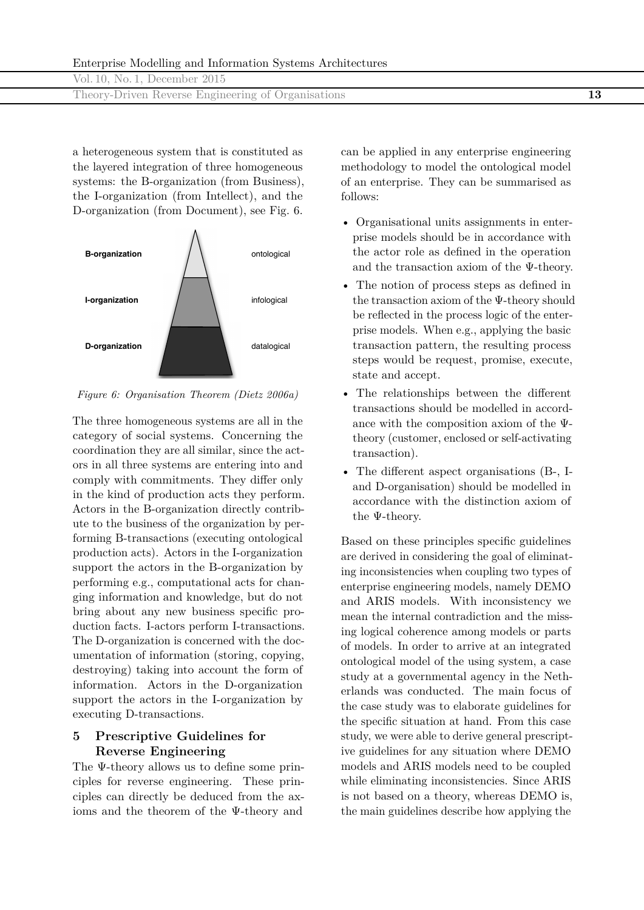Theory-Driven Reverse Engineering of Organisations **13**

a heterogeneous system that is constituted as the layered integration of three homogeneous systems: the B-organization (from Business), the I-organization (from Intellect), and the D-organization (from Document), see Fig. 6.



*Figure 6: Organisation Theorem (Dietz 2006a)*

The three homogeneous systems are all in the category of social systems. Concerning the coordination they are all similar, since the actors in all three systems are entering into and comply with commitments. They differ only in the kind of production acts they perform. Actors in the B-organization directly contribute to the business of the organization by performing B-transactions (executing ontological production acts). Actors in the I-organization support the actors in the B-organization by performing e.g., computational acts for changing information and knowledge, but do not bring about any new business specific production facts. I-actors perform I-transactions. The D-organization is concerned with the documentation of information (storing, copying, destroying) taking into account the form of information. Actors in the D-organization support the actors in the I-organization by executing D-transactions.

# **5 Prescriptive Guidelines for Reverse Engineering**

The Ψ-theory allows us to define some principles for reverse engineering. These principles can directly be deduced from the axioms and the theorem of the Ψ-theory and

can be applied in any enterprise engineering methodology to model the ontological model of an enterprise. They can be summarised as follows:

- Organisational units assignments in enterprise models should be in accordance with the actor role as defined in the operation and the transaction axiom of the Ψ-theory.
- The notion of process steps as defined in the transaction axiom of the Ψ-theory should be reflected in the process logic of the enterprise models. When e.g., applying the basic transaction pattern, the resulting process steps would be request, promise, execute, state and accept.
- The relationships between the different transactions should be modelled in accordance with the composition axiom of the Ψtheory (customer, enclosed or self-activating transaction).
- The different aspect organisations (B-, Iand D-organisation) should be modelled in accordance with the distinction axiom of the Ψ-theory.

Based on these principles specific guidelines are derived in considering the goal of eliminating inconsistencies when coupling two types of enterprise engineering models, namely DEMO and ARIS models. With inconsistency we mean the internal contradiction and the missing logical coherence among models or parts of models. In order to arrive at an integrated ontological model of the using system, a case study at a governmental agency in the Netherlands was conducted. The main focus of the case study was to elaborate guidelines for the specific situation at hand. From this case study, we were able to derive general prescriptive guidelines for any situation where DEMO models and ARIS models need to be coupled while eliminating inconsistencies. Since ARIS is not based on a theory, whereas DEMO is, the main guidelines describe how applying the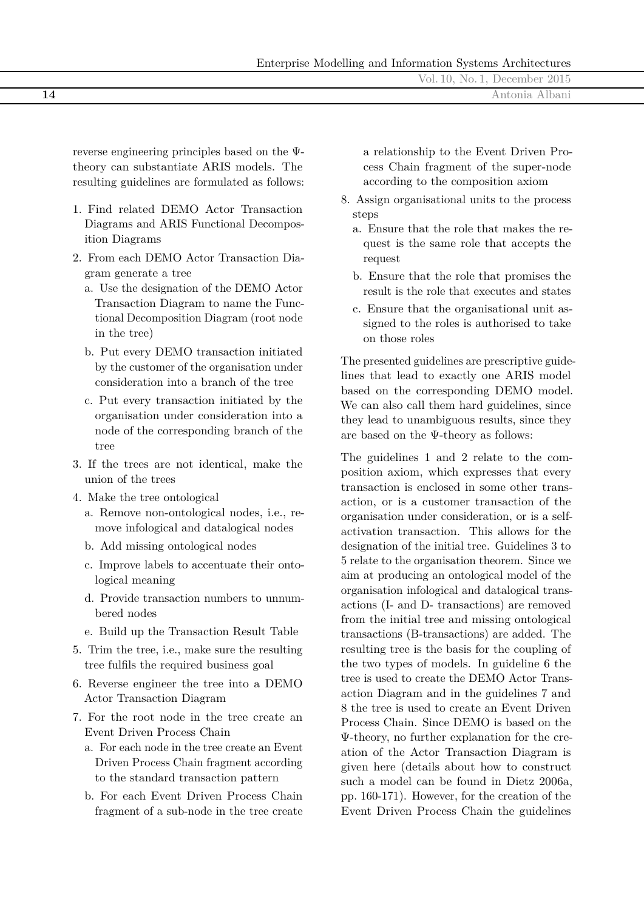|    | December 2015<br>$\overline{O}$ .<br>No L |
|----|-------------------------------------------|
| 14 | onia<br>lbanı                             |
|    |                                           |

reverse engineering principles based on the Ψtheory can substantiate ARIS models. The resulting guidelines are formulated as follows:

- 1. Find related DEMO Actor Transaction Diagrams and ARIS Functional Decomposition Diagrams
- 2. From each DEMO Actor Transaction Diagram generate a tree
	- a. Use the designation of the DEMO Actor Transaction Diagram to name the Functional Decomposition Diagram (root node in the tree)
	- b. Put every DEMO transaction initiated by the customer of the organisation under consideration into a branch of the tree
	- c. Put every transaction initiated by the organisation under consideration into a node of the corresponding branch of the tree
- 3. If the trees are not identical, make the union of the trees
- 4. Make the tree ontological
	- a. Remove non-ontological nodes, i.e., remove infological and datalogical nodes
	- b. Add missing ontological nodes
	- c. Improve labels to accentuate their ontological meaning
	- d. Provide transaction numbers to unnumbered nodes
	- e. Build up the Transaction Result Table
- 5. Trim the tree, i.e., make sure the resulting tree fulfils the required business goal
- 6. Reverse engineer the tree into a DEMO Actor Transaction Diagram
- 7. For the root node in the tree create an Event Driven Process Chain
	- a. For each node in the tree create an Event Driven Process Chain fragment according to the standard transaction pattern
	- b. For each Event Driven Process Chain fragment of a sub-node in the tree create

a relationship to the Event Driven Process Chain fragment of the super-node according to the composition axiom

- 8. Assign organisational units to the process steps
	- a. Ensure that the role that makes the request is the same role that accepts the request
	- b. Ensure that the role that promises the result is the role that executes and states
	- c. Ensure that the organisational unit assigned to the roles is authorised to take on those roles

The presented guidelines are prescriptive guidelines that lead to exactly one ARIS model based on the corresponding DEMO model. We can also call them hard guidelines, since they lead to unambiguous results, since they are based on the Ψ-theory as follows:

The guidelines 1 and 2 relate to the composition axiom, which expresses that every transaction is enclosed in some other transaction, or is a customer transaction of the organisation under consideration, or is a selfactivation transaction. This allows for the designation of the initial tree. Guidelines 3 to 5 relate to the organisation theorem. Since we aim at producing an ontological model of the organisation infological and datalogical transactions (I- and D- transactions) are removed from the initial tree and missing ontological transactions (B-transactions) are added. The resulting tree is the basis for the coupling of the two types of models. In guideline 6 the tree is used to create the DEMO Actor Transaction Diagram and in the guidelines 7 and 8 the tree is used to create an Event Driven Process Chain. Since DEMO is based on the Ψ-theory, no further explanation for the creation of the Actor Transaction Diagram is given here (details about how to construct such a model can be found in Dietz 2006a, pp. 160-171). However, for the creation of the Event Driven Process Chain the guidelines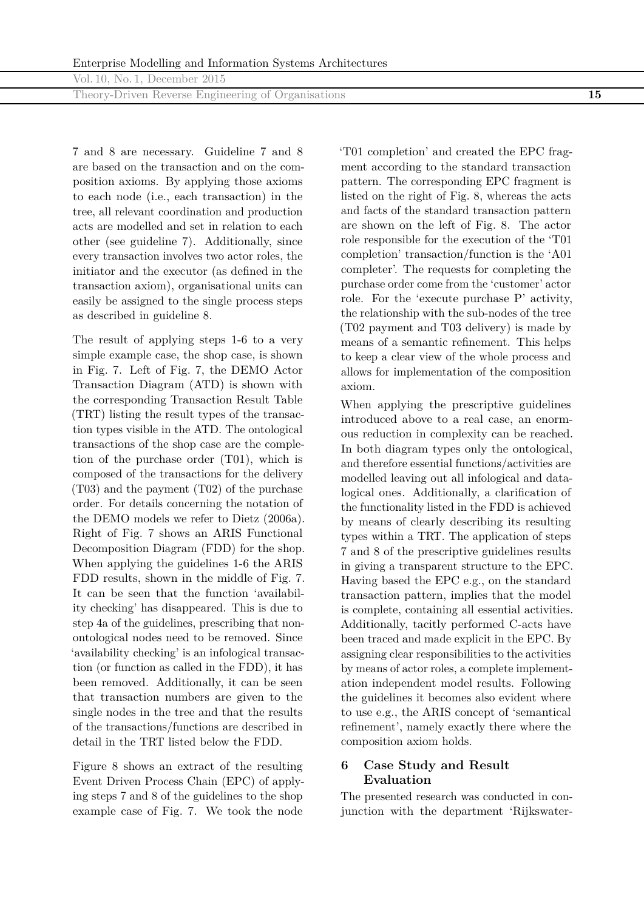Theory-Driven Reverse Engineering of Organisations **15**

7 and 8 are necessary. Guideline 7 and 8 are based on the transaction and on the composition axioms. By applying those axioms to each node (i.e., each transaction) in the tree, all relevant coordination and production acts are modelled and set in relation to each other (see guideline 7). Additionally, since every transaction involves two actor roles, the initiator and the executor (as defined in the transaction axiom), organisational units can easily be assigned to the single process steps as described in guideline 8.

The result of applying steps 1-6 to a very simple example case, the shop case, is shown in Fig. 7. Left of Fig. 7, the DEMO Actor Transaction Diagram (ATD) is shown with the corresponding Transaction Result Table (TRT) listing the result types of the transaction types visible in the ATD. The ontological transactions of the shop case are the completion of the purchase order (T01), which is composed of the transactions for the delivery (T03) and the payment (T02) of the purchase order. For details concerning the notation of the DEMO models we refer to Dietz (2006a). Right of Fig. 7 shows an ARIS Functional Decomposition Diagram (FDD) for the shop. When applying the guidelines 1-6 the ARIS FDD results, shown in the middle of Fig. 7. It can be seen that the function 'availability checking' has disappeared. This is due to step 4a of the guidelines, prescribing that nonontological nodes need to be removed. Since 'availability checking' is an infological transaction (or function as called in the FDD), it has been removed. Additionally, it can be seen that transaction numbers are given to the single nodes in the tree and that the results of the transactions/functions are described in detail in the TRT listed below the FDD.

Figure 8 shows an extract of the resulting Event Driven Process Chain (EPC) of applying steps 7 and 8 of the guidelines to the shop example case of Fig. 7. We took the node

'T01 completion' and created the EPC fragment according to the standard transaction pattern. The corresponding EPC fragment is listed on the right of Fig. 8, whereas the acts and facts of the standard transaction pattern are shown on the left of Fig. 8. The actor role responsible for the execution of the 'T01 completion' transaction/function is the 'A01 completer'. The requests for completing the purchase order come from the 'customer' actor role. For the 'execute purchase P' activity, the relationship with the sub-nodes of the tree (T02 payment and T03 delivery) is made by means of a semantic refinement. This helps to keep a clear view of the whole process and allows for implementation of the composition axiom.

When applying the prescriptive guidelines introduced above to a real case, an enormous reduction in complexity can be reached. In both diagram types only the ontological, and therefore essential functions/activities are modelled leaving out all infological and datalogical ones. Additionally, a clarification of the functionality listed in the FDD is achieved by means of clearly describing its resulting types within a TRT. The application of steps 7 and 8 of the prescriptive guidelines results in giving a transparent structure to the EPC. Having based the EPC e.g., on the standard transaction pattern, implies that the model is complete, containing all essential activities. Additionally, tacitly performed C-acts have been traced and made explicit in the EPC. By assigning clear responsibilities to the activities by means of actor roles, a complete implementation independent model results. Following the guidelines it becomes also evident where to use e.g., the ARIS concept of 'semantical refinement', namely exactly there where the composition axiom holds.

# **6 Case Study and Result Evaluation**

The presented research was conducted in conjunction with the department 'Rijkswater-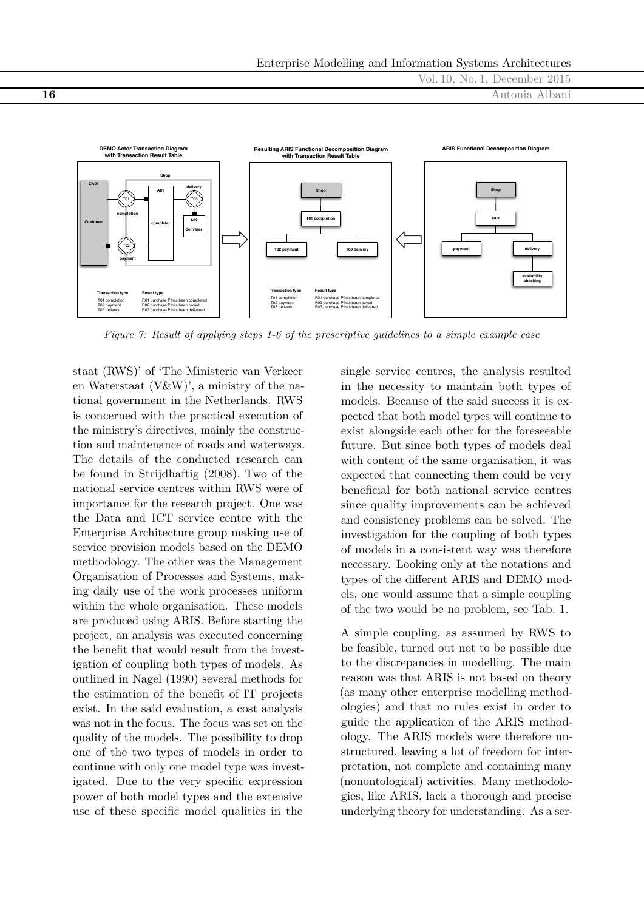Vol. 10, No. 1, December 2015 **16** Antonia Albani



*Figure 7: Result of applying steps 1-6 of the prescriptive guidelines to a simple example case*

staat (RWS)' of 'The Ministerie van Verkeer en Waterstaat (V&W)', a ministry of the national government in the Netherlands. RWS is concerned with the practical execution of the ministry's directives, mainly the construction and maintenance of roads and waterways. The details of the conducted research can be found in Strijdhaftig (2008). Two of the national service centres within RWS were of importance for the research project. One was the Data and ICT service centre with the Enterprise Architecture group making use of service provision models based on the DEMO methodology. The other was the Management Organisation of Processes and Systems, making daily use of the work processes uniform within the whole organisation. These models are produced using ARIS. Before starting the project, an analysis was executed concerning the benefit that would result from the investigation of coupling both types of models. As outlined in Nagel (1990) several methods for the estimation of the benefit of IT projects exist. In the said evaluation, a cost analysis was not in the focus. The focus was set on the quality of the models. The possibility to drop one of the two types of models in order to continue with only one model type was investigated. Due to the very specific expression power of both model types and the extensive use of these specific model qualities in the

single service centres, the analysis resulted in the necessity to maintain both types of models. Because of the said success it is expected that both model types will continue to exist alongside each other for the foreseeable future. But since both types of models deal with content of the same organisation, it was expected that connecting them could be very beneficial for both national service centres since quality improvements can be achieved and consistency problems can be solved. The investigation for the coupling of both types of models in a consistent way was therefore necessary. Looking only at the notations and types of the different ARIS and DEMO models, one would assume that a simple coupling of the two would be no problem, see Tab. 1.

A simple coupling, as assumed by RWS to be feasible, turned out not to be possible due to the discrepancies in modelling. The main reason was that ARIS is not based on theory (as many other enterprise modelling methodologies) and that no rules exist in order to guide the application of the ARIS methodology. The ARIS models were therefore unstructured, leaving a lot of freedom for interpretation, not complete and containing many (nonontological) activities. Many methodologies, like ARIS, lack a thorough and precise underlying theory for understanding. As a ser-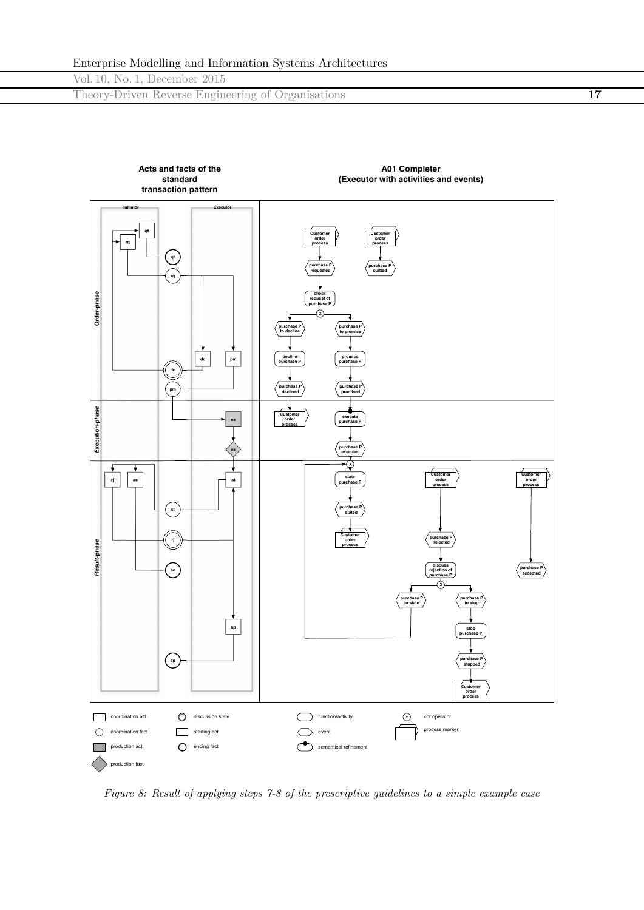Theory-Driven Reverse Engineering of Organisations **17**



*Figure 8: Result of applying steps 7-8 of the prescriptive guidelines to a simple example case*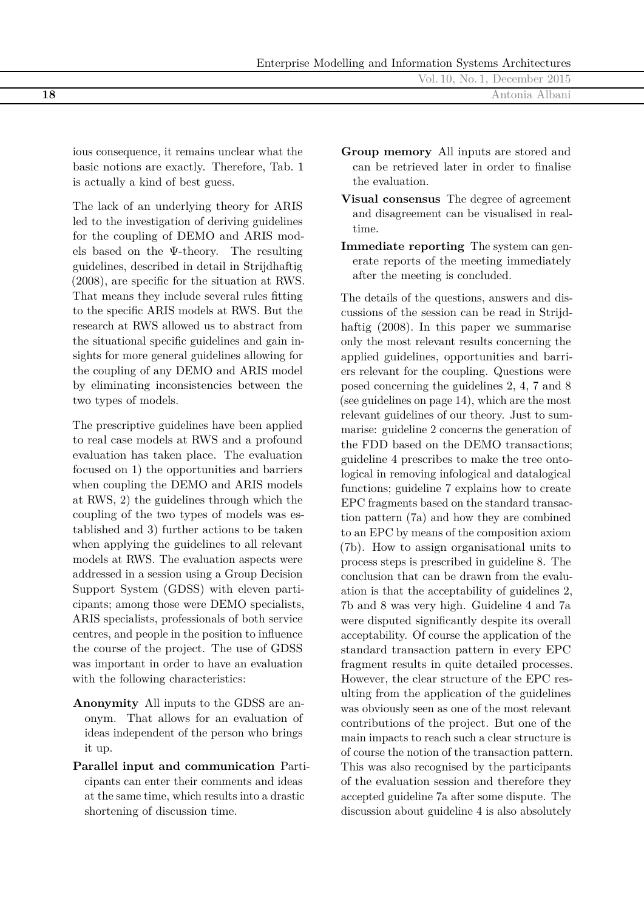|    | No. 1, December $2015$<br>Vol. $10, 1$ |
|----|----------------------------------------|
| 18 | lbani)<br>Antonia.                     |
|    |                                        |

ious consequence, it remains unclear what the basic notions are exactly. Therefore, Tab. 1 is actually a kind of best guess.

The lack of an underlying theory for ARIS led to the investigation of deriving guidelines for the coupling of DEMO and ARIS models based on the Ψ-theory. The resulting guidelines, described in detail in Strijdhaftig (2008), are specific for the situation at RWS. That means they include several rules fitting to the specific ARIS models at RWS. But the research at RWS allowed us to abstract from the situational specific guidelines and gain insights for more general guidelines allowing for the coupling of any DEMO and ARIS model by eliminating inconsistencies between the two types of models.

The prescriptive guidelines have been applied to real case models at RWS and a profound evaluation has taken place. The evaluation focused on 1) the opportunities and barriers when coupling the DEMO and ARIS models at RWS, 2) the guidelines through which the coupling of the two types of models was established and 3) further actions to be taken when applying the guidelines to all relevant models at RWS. The evaluation aspects were addressed in a session using a Group Decision Support System (GDSS) with eleven participants; among those were DEMO specialists, ARIS specialists, professionals of both service centres, and people in the position to influence the course of the project. The use of GDSS was important in order to have an evaluation with the following characteristics:

- **Anonymity** All inputs to the GDSS are anonym. That allows for an evaluation of ideas independent of the person who brings it up.
- **Parallel input and communication** Participants can enter their comments and ideas at the same time, which results into a drastic shortening of discussion time.
- **Group memory** All inputs are stored and can be retrieved later in order to finalise the evaluation.
- **Visual consensus** The degree of agreement and disagreement can be visualised in realtime.
- **Immediate reporting** The system can generate reports of the meeting immediately after the meeting is concluded.

The details of the questions, answers and discussions of the session can be read in Strijdhaftig (2008). In this paper we summarise only the most relevant results concerning the applied guidelines, opportunities and barriers relevant for the coupling. Questions were posed concerning the guidelines 2, 4, 7 and 8 (see guidelines on page 14), which are the most relevant guidelines of our theory. Just to summarise: guideline 2 concerns the generation of the FDD based on the DEMO transactions; guideline 4 prescribes to make the tree ontological in removing infological and datalogical functions; guideline 7 explains how to create EPC fragments based on the standard transaction pattern (7a) and how they are combined to an EPC by means of the composition axiom (7b). How to assign organisational units to process steps is prescribed in guideline 8. The conclusion that can be drawn from the evaluation is that the acceptability of guidelines 2, 7b and 8 was very high. Guideline 4 and 7a were disputed significantly despite its overall acceptability. Of course the application of the standard transaction pattern in every EPC fragment results in quite detailed processes. However, the clear structure of the EPC resulting from the application of the guidelines was obviously seen as one of the most relevant contributions of the project. But one of the main impacts to reach such a clear structure is of course the notion of the transaction pattern. This was also recognised by the participants of the evaluation session and therefore they accepted guideline 7a after some dispute. The discussion about guideline 4 is also absolutely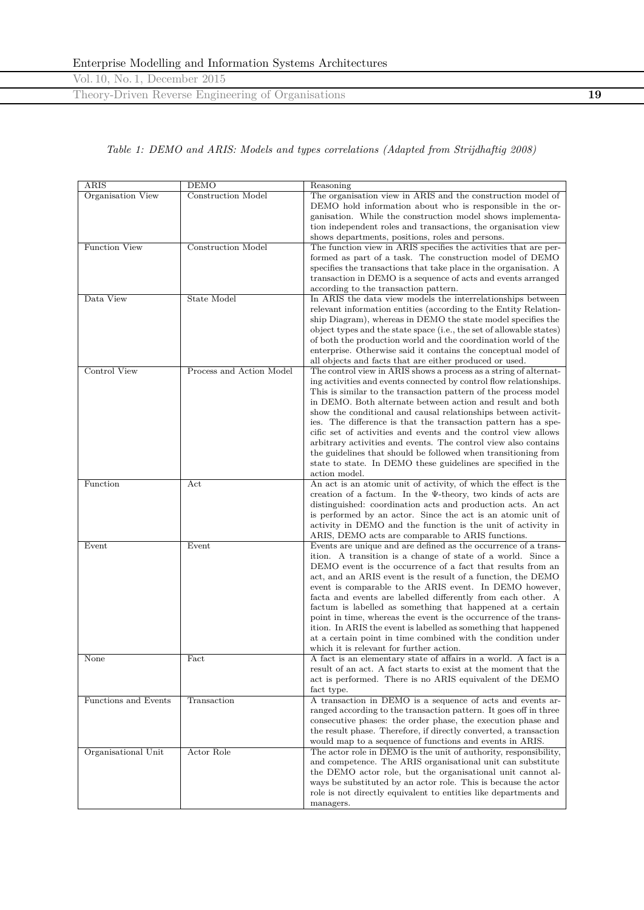Theory-Driven Reverse Engineering of Organisations **19**

#### *Table 1: DEMO and ARIS: Models and types correlations (Adapted from Strijdhaftig 2008)*

| <b>ARIS</b>          | <b>DEMO</b>               | Reasoning                                                            |
|----------------------|---------------------------|----------------------------------------------------------------------|
| Organisation View    | Construction Model        | The organisation view in ARIS and the construction model of          |
|                      |                           | DEMO hold information about who is responsible in the or-            |
|                      |                           | ganisation. While the construction model shows implementa-           |
|                      |                           | tion independent roles and transactions, the organisation view       |
|                      |                           | shows departments, positions, roles and persons.                     |
| <b>Function View</b> | <b>Construction Model</b> | The function view in ARIS specifies the activities that are per-     |
|                      |                           | formed as part of a task. The construction model of DEMO             |
|                      |                           | specifies the transactions that take place in the organisation. A    |
|                      |                           | transaction in DEMO is a sequence of acts and events arranged        |
|                      |                           | according to the transaction pattern.                                |
| Data View            | State Model               | In ARIS the data view models the interrelationships between          |
|                      |                           | relevant information entities (according to the Entity Relation-     |
|                      |                           | ship Diagram), whereas in DEMO the state model specifies the         |
|                      |                           |                                                                      |
|                      |                           | object types and the state space (i.e., the set of allowable states) |
|                      |                           | of both the production world and the coordination world of the       |
|                      |                           | enterprise. Otherwise said it contains the conceptual model of       |
|                      |                           | all objects and facts that are either produced or used.              |
| Control View         | Process and Action Model  | The control view in ARIS shows a process as a string of alternat-    |
|                      |                           | ing activities and events connected by control flow relationships.   |
|                      |                           | This is similar to the transaction pattern of the process model      |
|                      |                           | in DEMO. Both alternate between action and result and both           |
|                      |                           | show the conditional and causal relationships between activit-       |
|                      |                           | ies. The difference is that the transaction pattern has a spe-       |
|                      |                           | cific set of activities and events and the control view allows       |
|                      |                           | arbitrary activities and events. The control view also contains      |
|                      |                           | the guidelines that should be followed when transitioning from       |
|                      |                           | state to state. In DEMO these guidelines are specified in the        |
|                      |                           | action model.                                                        |
| Function             | Act                       | An act is an atomic unit of activity, of which the effect is the     |
|                      |                           | creation of a factum. In the $\Psi$ -theory, two kinds of acts are   |
|                      |                           | distinguished: coordination acts and production acts. An act         |
|                      |                           | is performed by an actor. Since the act is an atomic unit of         |
|                      |                           | activity in DEMO and the function is the unit of activity in         |
|                      |                           | ARIS, DEMO acts are comparable to ARIS functions.                    |
| Event                | Event                     | Events are unique and are defined as the occurrence of a trans-      |
|                      |                           | ition. A transition is a change of state of a world. Since a         |
|                      |                           | DEMO event is the occurrence of a fact that results from an          |
|                      |                           | act, and an ARIS event is the result of a function, the DEMO         |
|                      |                           | event is comparable to the ARIS event. In DEMO however,              |
|                      |                           | facta and events are labelled differently from each other. A         |
|                      |                           | factum is labelled as something that happened at a certain           |
|                      |                           | point in time, whereas the event is the occurrence of the trans-     |
|                      |                           | ition. In ARIS the event is labelled as something that happened      |
|                      |                           | at a certain point in time combined with the condition under         |
|                      |                           | which it is relevant for further action.                             |
| None                 | Fact                      | A fact is an elementary state of affairs in a world. A fact is a     |
|                      |                           | result of an act. A fact starts to exist at the moment that the      |
|                      |                           | act is performed. There is no ARIS equivalent of the DEMO            |
|                      |                           | fact type.                                                           |
| Functions and Events | Transaction               | A transaction in DEMO is a sequence of acts and events ar-           |
|                      |                           | ranged according to the transaction pattern. It goes off in three    |
|                      |                           | consecutive phases: the order phase, the execution phase and         |
|                      |                           | the result phase. Therefore, if directly converted, a transaction    |
|                      |                           | would map to a sequence of functions and events in ARIS.             |
| Organisational Unit  | Actor Role                | The actor role in DEMO is the unit of authority, responsibility,     |
|                      |                           | and competence. The ARIS organisational unit can substitute          |
|                      |                           | the DEMO actor role, but the organisational unit cannot al-          |
|                      |                           | ways be substituted by an actor role. This is because the actor      |
|                      |                           | role is not directly equivalent to entities like departments and     |
|                      |                           | managers.                                                            |
|                      |                           |                                                                      |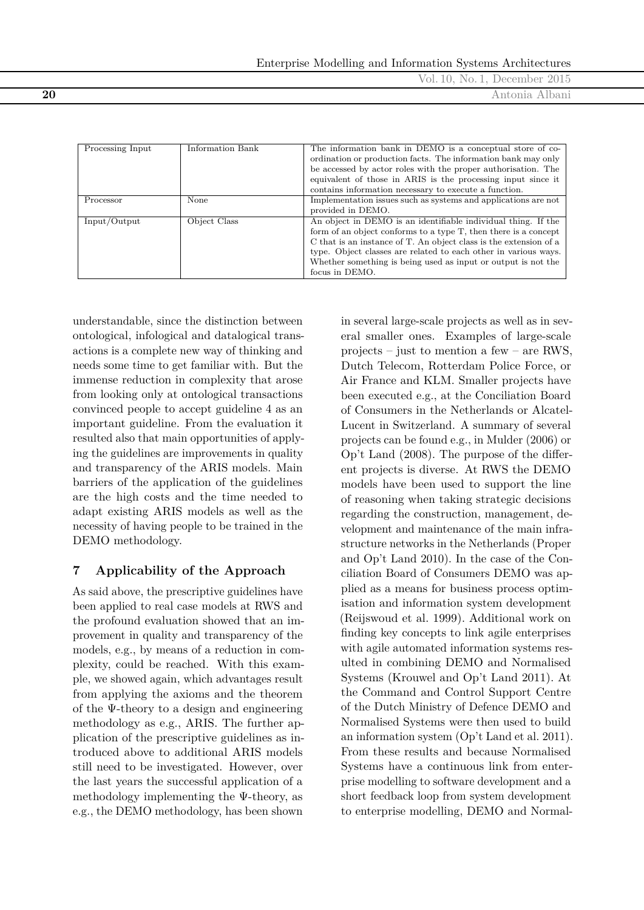|                 | December 2015<br>Vol.<br>10<br>No. |
|-----------------|------------------------------------|
| $\overline{20}$ | Antonia Albani                     |
|                 |                                    |

| Processing Input | Information Bank | The information bank in DEMO is a conceptual store of co-<br>ordination or production facts. The information bank may only<br>be accessed by actor roles with the proper authorisation. The<br>equivalent of those in ARIS is the processing input since it<br>contains information necessary to execute a function.                                           |
|------------------|------------------|----------------------------------------------------------------------------------------------------------------------------------------------------------------------------------------------------------------------------------------------------------------------------------------------------------------------------------------------------------------|
| Processor        | None             | Implementation issues such as systems and applications are not<br>provided in DEMO.                                                                                                                                                                                                                                                                            |
| Input/Output     | Object Class     | An object in DEMO is an identifiable individual thing. If the<br>form of an object conforms to a type $T$ , then there is a concept<br>C that is an instance of T. An object class is the extension of a<br>type. Object classes are related to each other in various ways.<br>Whether something is being used as input or output is not the<br>focus in DEMO. |

understandable, since the distinction between ontological, infological and datalogical transactions is a complete new way of thinking and needs some time to get familiar with. But the immense reduction in complexity that arose from looking only at ontological transactions convinced people to accept guideline 4 as an important guideline. From the evaluation it resulted also that main opportunities of applying the guidelines are improvements in quality and transparency of the ARIS models. Main barriers of the application of the guidelines are the high costs and the time needed to adapt existing ARIS models as well as the necessity of having people to be trained in the DEMO methodology.

# **7 Applicability of the Approach**

As said above, the prescriptive guidelines have been applied to real case models at RWS and the profound evaluation showed that an improvement in quality and transparency of the models, e.g., by means of a reduction in complexity, could be reached. With this example, we showed again, which advantages result from applying the axioms and the theorem of the Ψ-theory to a design and engineering methodology as e.g., ARIS. The further application of the prescriptive guidelines as introduced above to additional ARIS models still need to be investigated. However, over the last years the successful application of a methodology implementing the Ψ-theory, as e.g., the DEMO methodology, has been shown

in several large-scale projects as well as in several smaller ones. Examples of large-scale projects – just to mention a few – are RWS, Dutch Telecom, Rotterdam Police Force, or Air France and KLM. Smaller projects have been executed e.g., at the Conciliation Board of Consumers in the Netherlands or Alcatel-Lucent in Switzerland. A summary of several projects can be found e.g., in Mulder (2006) or Op't Land (2008). The purpose of the different projects is diverse. At RWS the DEMO models have been used to support the line of reasoning when taking strategic decisions regarding the construction, management, development and maintenance of the main infrastructure networks in the Netherlands (Proper and Op't Land 2010). In the case of the Conciliation Board of Consumers DEMO was applied as a means for business process optimisation and information system development (Reijswoud et al. 1999). Additional work on finding key concepts to link agile enterprises with agile automated information systems resulted in combining DEMO and Normalised Systems (Krouwel and Op't Land 2011). At the Command and Control Support Centre of the Dutch Ministry of Defence DEMO and Normalised Systems were then used to build an information system (Op't Land et al. 2011). From these results and because Normalised Systems have a continuous link from enterprise modelling to software development and a short feedback loop from system development to enterprise modelling, DEMO and Normal-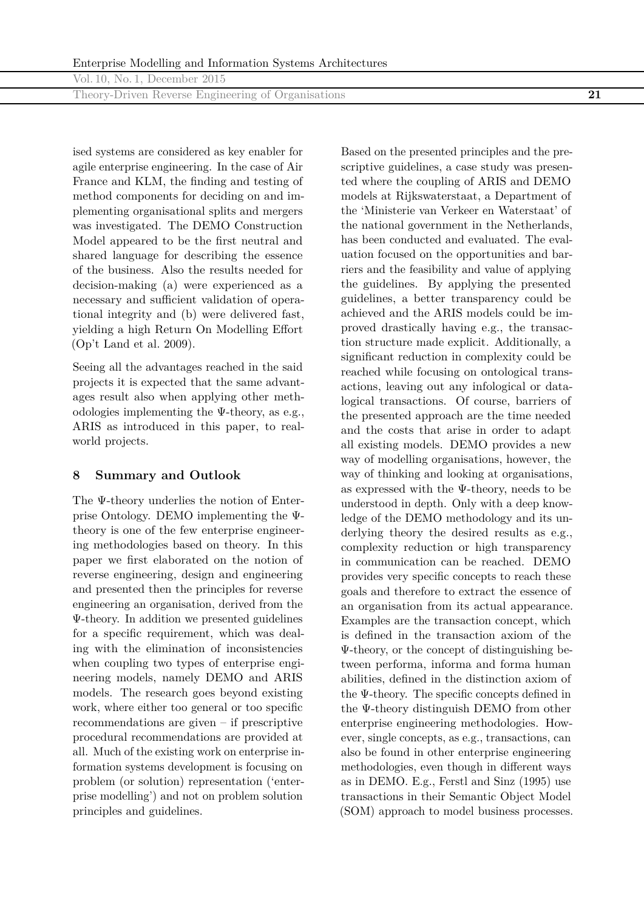Theory-Driven Reverse Engineering of Organisations **21**

ised systems are considered as key enabler for agile enterprise engineering. In the case of Air France and KLM, the finding and testing of method components for deciding on and implementing organisational splits and mergers was investigated. The DEMO Construction Model appeared to be the first neutral and shared language for describing the essence of the business. Also the results needed for decision-making (a) were experienced as a necessary and sufficient validation of operational integrity and (b) were delivered fast, yielding a high Return On Modelling Effort (Op't Land et al. 2009).

Seeing all the advantages reached in the said projects it is expected that the same advantages result also when applying other methodologies implementing the Ψ-theory, as e.g., ARIS as introduced in this paper, to realworld projects.

### **8 Summary and Outlook**

The Ψ-theory underlies the notion of Enterprise Ontology. DEMO implementing the Ψtheory is one of the few enterprise engineering methodologies based on theory. In this paper we first elaborated on the notion of reverse engineering, design and engineering and presented then the principles for reverse engineering an organisation, derived from the Ψ-theory. In addition we presented guidelines for a specific requirement, which was dealing with the elimination of inconsistencies when coupling two types of enterprise engineering models, namely DEMO and ARIS models. The research goes beyond existing work, where either too general or too specific recommendations are given – if prescriptive procedural recommendations are provided at all. Much of the existing work on enterprise information systems development is focusing on problem (or solution) representation ('enterprise modelling') and not on problem solution principles and guidelines.

Based on the presented principles and the prescriptive guidelines, a case study was presented where the coupling of ARIS and DEMO models at Rijkswaterstaat, a Department of the 'Ministerie van Verkeer en Waterstaat' of the national government in the Netherlands, has been conducted and evaluated. The evaluation focused on the opportunities and barriers and the feasibility and value of applying the guidelines. By applying the presented guidelines, a better transparency could be achieved and the ARIS models could be improved drastically having e.g., the transaction structure made explicit. Additionally, a significant reduction in complexity could be reached while focusing on ontological transactions, leaving out any infological or datalogical transactions. Of course, barriers of the presented approach are the time needed and the costs that arise in order to adapt all existing models. DEMO provides a new way of modelling organisations, however, the way of thinking and looking at organisations, as expressed with the  $\Psi$ -theory, needs to be understood in depth. Only with a deep knowledge of the DEMO methodology and its underlying theory the desired results as e.g., complexity reduction or high transparency in communication can be reached. DEMO provides very specific concepts to reach these goals and therefore to extract the essence of an organisation from its actual appearance. Examples are the transaction concept, which is defined in the transaction axiom of the Ψ-theory, or the concept of distinguishing between performa, informa and forma human abilities, defined in the distinction axiom of the Ψ-theory. The specific concepts defined in the Ψ-theory distinguish DEMO from other enterprise engineering methodologies. However, single concepts, as e.g., transactions, can also be found in other enterprise engineering methodologies, even though in different ways as in DEMO. E.g., Ferstl and Sinz (1995) use transactions in their Semantic Object Model (SOM) approach to model business processes.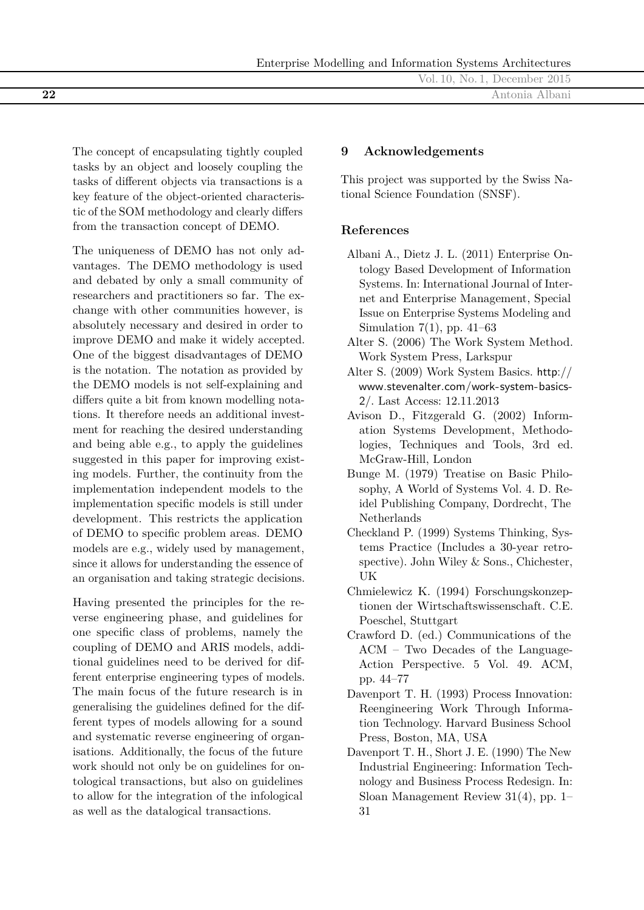The concept of encapsulating tightly coupled tasks by an object and loosely coupling the tasks of different objects via transactions is a key feature of the object-oriented characteristic of the SOM methodology and clearly differs from the transaction concept of DEMO.

The uniqueness of DEMO has not only advantages. The DEMO methodology is used and debated by only a small community of researchers and practitioners so far. The exchange with other communities however, is absolutely necessary and desired in order to improve DEMO and make it widely accepted. One of the biggest disadvantages of DEMO is the notation. The notation as provided by the DEMO models is not self-explaining and differs quite a bit from known modelling notations. It therefore needs an additional investment for reaching the desired understanding and being able e.g., to apply the guidelines suggested in this paper for improving existing models. Further, the continuity from the implementation independent models to the implementation specific models is still under development. This restricts the application of DEMO to specific problem areas. DEMO models are e.g., widely used by management, since it allows for understanding the essence of an organisation and taking strategic decisions.

Having presented the principles for the reverse engineering phase, and guidelines for one specific class of problems, namely the coupling of DEMO and ARIS models, additional guidelines need to be derived for different enterprise engineering types of models. The main focus of the future research is in generalising the guidelines defined for the different types of models allowing for a sound and systematic reverse engineering of organisations. Additionally, the focus of the future work should not only be on guidelines for ontological transactions, but also on guidelines to allow for the integration of the infological as well as the datalogical transactions.

#### **9 Acknowledgements**

This project was supported by the Swiss National Science Foundation (SNSF).

## **References**

- Albani A., Dietz J. L. (2011) Enterprise Ontology Based Development of Information Systems. In: International Journal of Internet and Enterprise Management, Special Issue on Enterprise Systems Modeling and Simulation  $7(1)$ , pp.  $41-63$
- Alter S. (2006) The Work System Method. Work System Press, Larkspur
- Alter S. (2009) Work System Basics. [http://](http://www.stevenalter.com/work-system-basics-2/) [www.stevenalter.com/work-system-basics-](http://www.stevenalter.com/work-system-basics-2/)[2/](http://www.stevenalter.com/work-system-basics-2/). Last Access: 12.11.2013
- Avison D., Fitzgerald G. (2002) Information Systems Development, Methodologies, Techniques and Tools, 3rd ed. McGraw-Hill, London
- Bunge M. (1979) Treatise on Basic Philosophy, A World of Systems Vol. 4. D. Reidel Publishing Company, Dordrecht, The Netherlands
- Checkland P. (1999) Systems Thinking, Systems Practice (Includes a 30-year retrospective). John Wiley & Sons., Chichester, UK
- Chmielewicz K. (1994) Forschungskonzeptionen der Wirtschaftswissenschaft. C.E. Poeschel, Stuttgart
- Crawford D. (ed.) Communications of the ACM – Two Decades of the Language-Action Perspective. 5 Vol. 49. ACM, pp. 44–77
- Davenport T. H. (1993) Process Innovation: Reengineering Work Through Information Technology. Harvard Business School Press, Boston, MA, USA
- Davenport T. H., Short J. E. (1990) The New Industrial Engineering: Information Technology and Business Process Redesign. In: Sloan Management Review 31(4), pp. 1– 31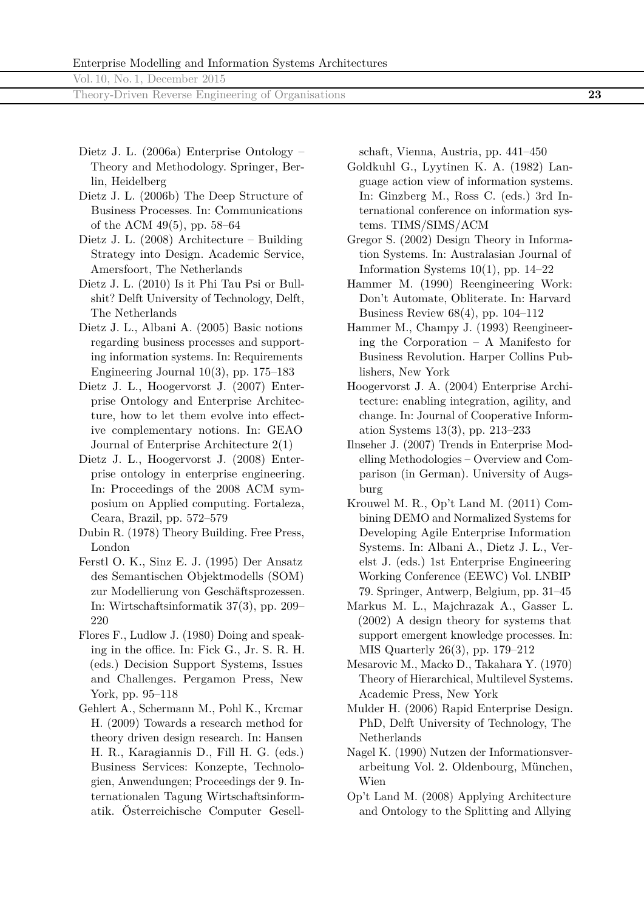Theory-Driven Reverse Engineering of Organisations **23**

- Dietz J. L. (2006a) Enterprise Ontology Theory and Methodology. Springer, Berlin, Heidelberg
- Dietz J. L. (2006b) The Deep Structure of Business Processes. In: Communications of the ACM 49(5), pp. 58–64
- Dietz J. L. (2008) Architecture Building Strategy into Design. Academic Service, Amersfoort, The Netherlands
- Dietz J. L. (2010) Is it Phi Tau Psi or Bullshit? Delft University of Technology, Delft, The Netherlands
- Dietz J. L., Albani A. (2005) Basic notions regarding business processes and supporting information systems. In: Requirements Engineering Journal 10(3), pp. 175–183
- Dietz J. L., Hoogervorst J. (2007) Enterprise Ontology and Enterprise Architecture, how to let them evolve into effective complementary notions. In: GEAO Journal of Enterprise Architecture 2(1)
- Dietz J. L., Hoogervorst J. (2008) Enterprise ontology in enterprise engineering. In: Proceedings of the 2008 ACM symposium on Applied computing. Fortaleza, Ceara, Brazil, pp. 572–579
- Dubin R. (1978) Theory Building. Free Press, London
- Ferstl O. K., Sinz E. J. (1995) Der Ansatz des Semantischen Objektmodells (SOM) zur Modellierung von Geschäftsprozessen. In: Wirtschaftsinformatik 37(3), pp. 209– 220
- Flores F., Ludlow J. (1980) Doing and speaking in the office. In: Fick G., Jr. S. R. H. (eds.) Decision Support Systems, Issues and Challenges. Pergamon Press, New York, pp. 95–118
- Gehlert A., Schermann M., Pohl K., Krcmar H. (2009) Towards a research method for theory driven design research. In: Hansen H. R., Karagiannis D., Fill H. G. (eds.) Business Services: Konzepte, Technologien, Anwendungen; Proceedings der 9. Internationalen Tagung Wirtschaftsinformatik. Österreichische Computer Gesell-

schaft, Vienna, Austria, pp. 441–450

- Goldkuhl G., Lyytinen K. A. (1982) Language action view of information systems. In: Ginzberg M., Ross C. (eds.) 3rd International conference on information systems. TIMS/SIMS/ACM
- Gregor S. (2002) Design Theory in Information Systems. In: Australasian Journal of Information Systems  $10(1)$ , pp. 14–22
- Hammer M. (1990) Reengineering Work: Don't Automate, Obliterate. In: Harvard Business Review 68(4), pp. 104–112
- Hammer M., Champy J. (1993) Reengineering the Corporation – A Manifesto for Business Revolution. Harper Collins Publishers, New York
- Hoogervorst J. A. (2004) Enterprise Architecture: enabling integration, agility, and change. In: Journal of Cooperative Information Systems 13(3), pp. 213–233
- Ilnseher J. (2007) Trends in Enterprise Modelling Methodologies – Overview and Comparison (in German). University of Augsburg
- Krouwel M. R., Op't Land M. (2011) Combining DEMO and Normalized Systems for Developing Agile Enterprise Information Systems. In: Albani A., Dietz J. L., Verelst J. (eds.) 1st Enterprise Engineering Working Conference (EEWC) Vol. LNBIP 79. Springer, Antwerp, Belgium, pp. 31–45
- Markus M. L., Majchrazak A., Gasser L. (2002) A design theory for systems that support emergent knowledge processes. In: MIS Quarterly 26(3), pp. 179–212
- Mesarovic M., Macko D., Takahara Y. (1970) Theory of Hierarchical, Multilevel Systems. Academic Press, New York
- Mulder H. (2006) Rapid Enterprise Design. PhD, Delft University of Technology, The Netherlands
- Nagel K. (1990) Nutzen der Informationsverarbeitung Vol. 2. Oldenbourg, München, Wien
- Op't Land M. (2008) Applying Architecture and Ontology to the Splitting and Allying